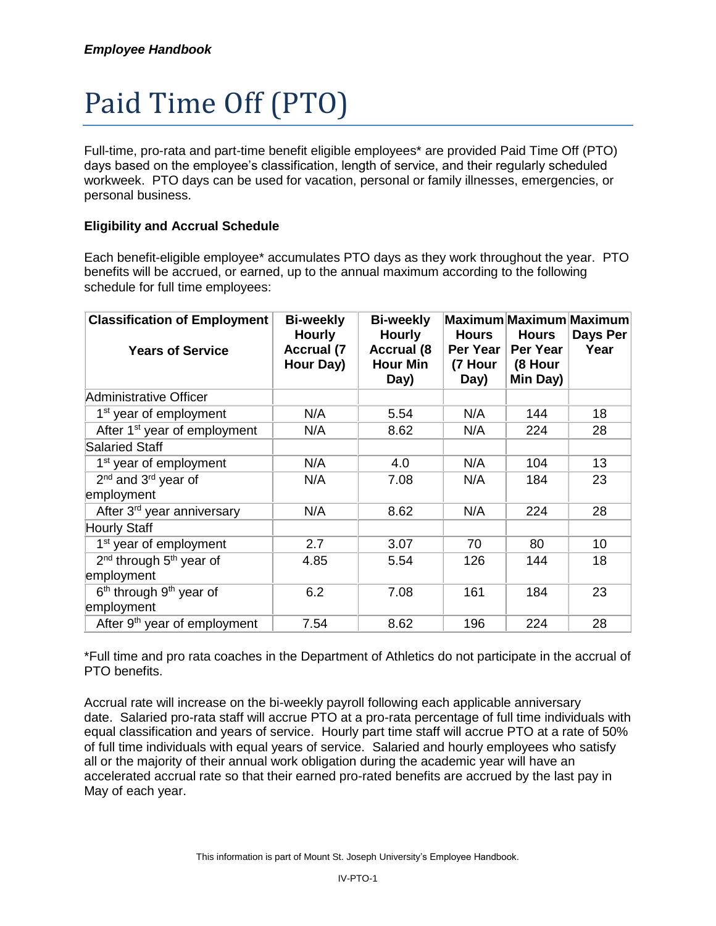# Paid Time Off (PTO)

Full-time, pro-rata and part-time benefit eligible employees\* are provided Paid Time Off (PTO) days based on the employee's classification, length of service, and their regularly scheduled workweek. PTO days can be used for vacation, personal or family illnesses, emergencies, or personal business.

# **Eligibility and Accrual Schedule**

Each benefit-eligible employee\* accumulates PTO days as they work throughout the year. PTO benefits will be accrued, or earned, up to the annual maximum according to the following schedule for full time employees:

| <b>Classification of Employment</b>             | <b>Bi-weekly</b><br><b>Hourly</b> | <b>Bi-weekly</b><br><b>Hourly</b>            | Hours                       | Maximum Maximum Maximum<br><b>Hours</b> | Days Per |
|-------------------------------------------------|-----------------------------------|----------------------------------------------|-----------------------------|-----------------------------------------|----------|
| <b>Years of Service</b>                         | <b>Accrual (7</b><br>Hour Day)    | <b>Accrual (8</b><br><b>Hour Min</b><br>Day) | Per Year<br>(7 Hour<br>Day) | Per Year<br>(8 Hour<br>Min Day)         | Year     |
| Administrative Officer                          |                                   |                                              |                             |                                         |          |
| 1 <sup>st</sup> year of employment              | N/A                               | 5.54                                         | N/A                         | 144                                     | 18       |
| After 1 <sup>st</sup> year of employment        | N/A                               | 8.62                                         | N/A                         | 224                                     | 28       |
| <b>Salaried Staff</b>                           |                                   |                                              |                             |                                         |          |
| 1 <sup>st</sup> year of employment              | N/A                               | 4.0                                          | N/A                         | 104                                     | 13       |
| 2 <sup>nd</sup> and 3 <sup>rd</sup> year of     | N/A                               | 7.08                                         | N/A                         | 184                                     | 23       |
| employment                                      |                                   |                                              |                             |                                         |          |
| After 3rd year anniversary                      | N/A                               | 8.62                                         | N/A                         | 224                                     | 28       |
| <b>Hourly Staff</b>                             |                                   |                                              |                             |                                         |          |
| $1st$ year of employment                        | 2.7                               | 3.07                                         | 70                          | 80                                      | 10       |
| 2 <sup>nd</sup> through 5 <sup>th</sup> year of | 4.85                              | 5.54                                         | 126                         | 144                                     | 18       |
| employment                                      |                                   |                                              |                             |                                         |          |
| 6 <sup>th</sup> through 9 <sup>th</sup> year of | 6.2                               | 7.08                                         | 161                         | 184                                     | 23       |
| employment                                      |                                   |                                              |                             |                                         |          |
| After 9 <sup>th</sup> year of employment        | 7.54                              | 8.62                                         | 196                         | 224                                     | 28       |

\*Full time and pro rata coaches in the Department of Athletics do not participate in the accrual of PTO benefits.

Accrual rate will increase on the bi-weekly payroll following each applicable anniversary date. Salaried pro-rata staff will accrue PTO at a pro-rata percentage of full time individuals with equal classification and years of service. Hourly part time staff will accrue PTO at a rate of 50% of full time individuals with equal years of service. Salaried and hourly employees who satisfy all or the majority of their annual work obligation during the academic year will have an accelerated accrual rate so that their earned pro-rated benefits are accrued by the last pay in May of each year.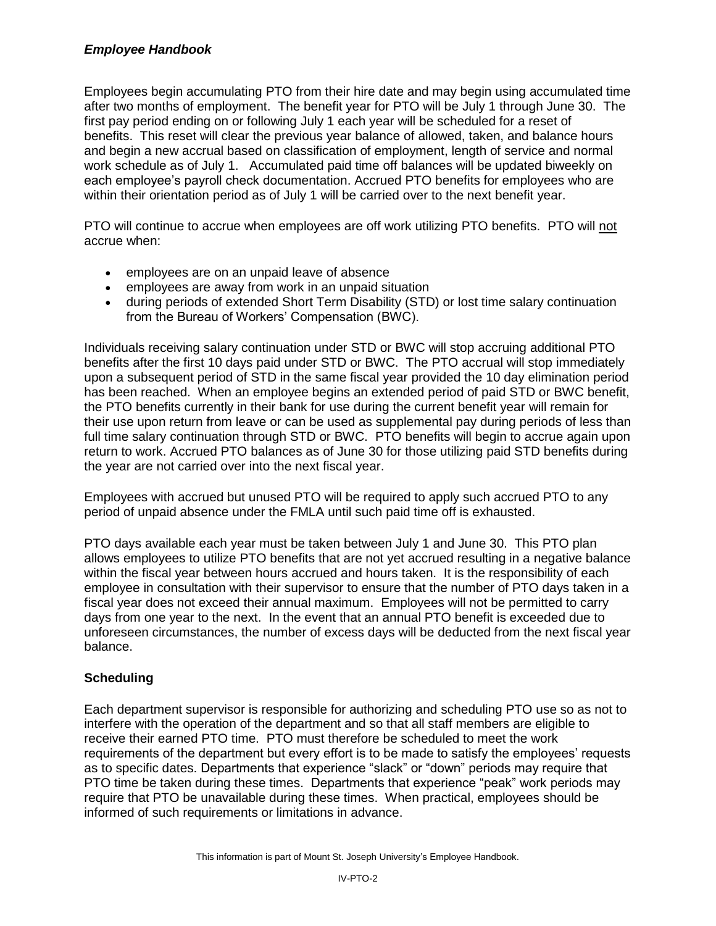# *Employee Handbook*

Employees begin accumulating PTO from their hire date and may begin using accumulated time after two months of employment. The benefit year for PTO will be July 1 through June 30. The first pay period ending on or following July 1 each year will be scheduled for a reset of benefits. This reset will clear the previous year balance of allowed, taken, and balance hours and begin a new accrual based on classification of employment, length of service and normal work schedule as of July 1. Accumulated paid time off balances will be updated biweekly on each employee's payroll check documentation. Accrued PTO benefits for employees who are within their orientation period as of July 1 will be carried over to the next benefit year.

PTO will continue to accrue when employees are off work utilizing PTO benefits. PTO will not accrue when:

- employees are on an unpaid leave of absence
- employees are away from work in an unpaid situation
- during periods of extended Short Term Disability (STD) or lost time salary continuation from the Bureau of Workers' Compensation (BWC).

Individuals receiving salary continuation under STD or BWC will stop accruing additional PTO benefits after the first 10 days paid under STD or BWC. The PTO accrual will stop immediately upon a subsequent period of STD in the same fiscal year provided the 10 day elimination period has been reached. When an employee begins an extended period of paid STD or BWC benefit, the PTO benefits currently in their bank for use during the current benefit year will remain for their use upon return from leave or can be used as supplemental pay during periods of less than full time salary continuation through STD or BWC. PTO benefits will begin to accrue again upon return to work. Accrued PTO balances as of June 30 for those utilizing paid STD benefits during the year are not carried over into the next fiscal year.

Employees with accrued but unused PTO will be required to apply such accrued PTO to any period of unpaid absence under the FMLA until such paid time off is exhausted.

PTO days available each year must be taken between July 1 and June 30. This PTO plan allows employees to utilize PTO benefits that are not yet accrued resulting in a negative balance within the fiscal year between hours accrued and hours taken. It is the responsibility of each employee in consultation with their supervisor to ensure that the number of PTO days taken in a fiscal year does not exceed their annual maximum. Employees will not be permitted to carry days from one year to the next. In the event that an annual PTO benefit is exceeded due to unforeseen circumstances, the number of excess days will be deducted from the next fiscal year balance.

# **Scheduling**

Each department supervisor is responsible for authorizing and scheduling PTO use so as not to interfere with the operation of the department and so that all staff members are eligible to receive their earned PTO time. PTO must therefore be scheduled to meet the work requirements of the department but every effort is to be made to satisfy the employees' requests as to specific dates. Departments that experience "slack" or "down" periods may require that PTO time be taken during these times. Departments that experience "peak" work periods may require that PTO be unavailable during these times. When practical, employees should be informed of such requirements or limitations in advance.